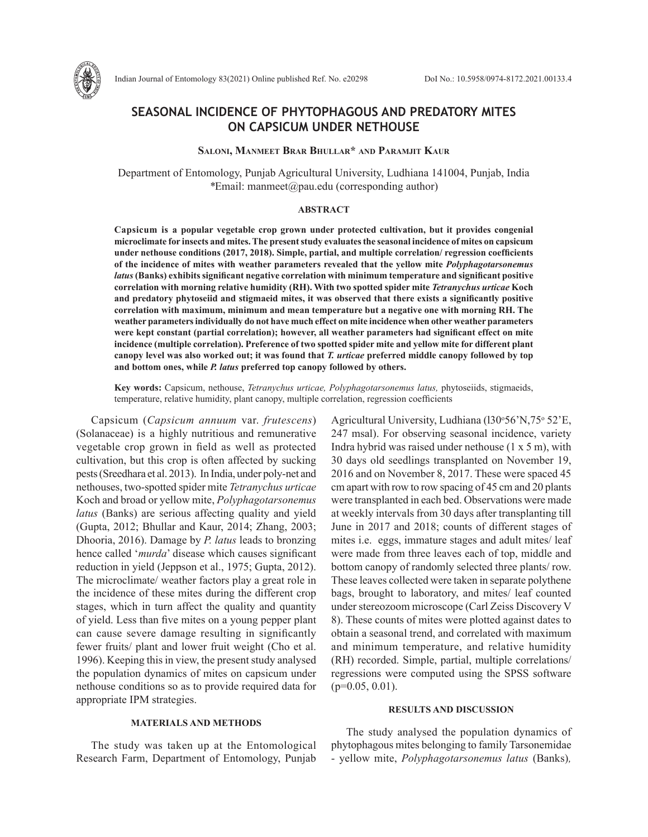

# **SEASONAL INCIDENCE OF PHYTOPHAGOUS AND PREDATORY MITES ON CAPSICUM UNDER NETHOUSE**

## **Saloni, Manmeet Brar Bhullar\* and Paramjit Kaur**

Department of Entomology, Punjab Agricultural University, Ludhiana 141004, Punjab, India *\**Email: manmeet@pau.edu (corresponding author)

#### **ABSTRACT**

**Capsicum is a popular vegetable crop grown under protected cultivation, but it provides congenial microclimate for insects and mites. The present study evaluates the seasonal incidence of mites on capsicum under nethouse conditions (2017, 2018). Simple, partial, and multiple correlation/ regression coefficients of the incidence of mites with weather parameters revealed that the yellow mite** *Polyphagotarsonemus latus***(Banks) exhibits significant negative correlation with minimum temperature and significant positive correlation with morning relative humidity (RH). With two spotted spider mite** *Tetranychus urticae* **Koch and predatory phytoseiid and stigmaeid mites, it was observed that there exists a significantly positive correlation with maximum, minimum and mean temperature but a negative one with morning RH. The weather parameters individually do not have much effect on mite incidence when other weather parameters were kept constant (partial correlation); however, all weather parameters had significant effect on mite incidence (multiple correlation). Preference of two spotted spider mite and yellow mite for different plant canopy level was also worked out; it was found that** *T. urticae* **preferred middle canopy followed by top and bottom ones, while** *P. latus* **preferred top canopy followed by others.** 

**Key words:** Capsicum, nethouse, *Tetranychus urticae, Polyphagotarsonemus latus,* phytoseiids, stigmaeids, temperature, relative humidity, plant canopy, multiple correlation, regression coefficients

Capsicum (*Capsicum annuum* var. *frutescens*) (Solanaceae) is a highly nutritious and remunerative vegetable crop grown in field as well as protected cultivation, but this crop is often affected by sucking pests (Sreedhara et al. 2013). In India, under poly-net and nethouses, two-spotted spider mite *Tetranychus urticae*  Koch and broad or yellow mite, *Polyphagotarsonemus latus* (Banks) are serious affecting quality and yield (Gupta, 2012; Bhullar and Kaur, 2014; Zhang, 2003; Dhooria, 2016). Damage by *P. latus* leads to bronzing hence called '*murda*' disease which causes significant reduction in yield (Jeppson et al., 1975; Gupta, 2012). The microclimate/ weather factors play a great role in the incidence of these mites during the different crop stages, which in turn affect the quality and quantity of yield. Less than five mites on a young pepper plant can cause severe damage resulting in significantly fewer fruits/ plant and lower fruit weight (Cho et al. 1996). Keeping this in view, the present study analysed the population dynamics of mites on capsicum under nethouse conditions so as to provide required data for appropriate IPM strategies.

### **MATERIALS AND METHODS**

The study was taken up at the Entomological Research Farm, Department of Entomology, Punjab

Agricultural University, Ludhiana (130°56'N,75° 52'E, 247 msal). For observing seasonal incidence, variety Indra hybrid was raised under nethouse (1 x 5 m), with 30 days old seedlings transplanted on November 19, 2016 and on November 8, 2017. These were spaced 45 cm apart with row to row spacing of 45 cm and 20 plants were transplanted in each bed. Observations were made at weekly intervals from 30 days after transplanting till June in 2017 and 2018; counts of different stages of mites i.e. eggs, immature stages and adult mites/ leaf were made from three leaves each of top, middle and bottom canopy of randomly selected three plants/ row. These leaves collected were taken in separate polythene bags, brought to laboratory, and mites/ leaf counted under stereozoom microscope (Carl Zeiss Discovery V 8). These counts of mites were plotted against dates to obtain a seasonal trend, and correlated with maximum and minimum temperature, and relative humidity (RH) recorded. Simple, partial, multiple correlations/ regressions were computed using the SPSS software  $(p=0.05, 0.01)$ .

## **RESULTS AND DISCUSSION**

The study analysed the population dynamics of phytophagous mites belonging to family Tarsonemidae - yellow mite, *Polyphagotarsonemus latus* (Banks)*,*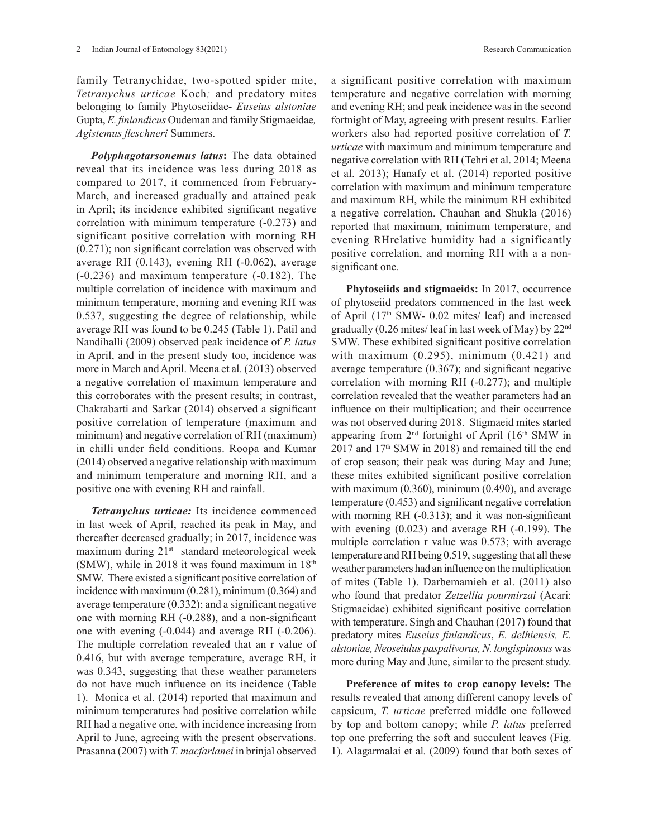family Tetranychidae, two-spotted spider mite, *Tetranychus urticae* Koch*;* and predatory mites belonging to family Phytoseiidae- *Euseius alstoniae*  Gupta, *E. finlandicus* Oudeman and family Stigmaeidae*, Agistemus fleschneri* Summers.

*Polyphagotarsonemus latus***:** The data obtained reveal that its incidence was less during 2018 as compared to 2017, it commenced from February-March, and increased gradually and attained peak in April; its incidence exhibited significant negative correlation with minimum temperature (-0.273) and significant positive correlation with morning RH (0.271); non significant correlation was observed with average RH (0.143), evening RH (-0.062), average (-0.236) and maximum temperature (-0.182). The multiple correlation of incidence with maximum and minimum temperature, morning and evening RH was 0.537, suggesting the degree of relationship, while average RH was found to be 0.245 (Table 1). Patil and Nandihalli (2009) observed peak incidence of *P. latus*  in April, and in the present study too, incidence was more in March and April. Meena et al*.* (2013) observed a negative correlation of maximum temperature and this corroborates with the present results; in contrast, Chakrabarti and Sarkar (2014) observed a significant positive correlation of temperature (maximum and minimum) and negative correlation of RH (maximum) in chilli under field conditions. Roopa and Kumar (2014) observed a negative relationship with maximum and minimum temperature and morning RH, and a positive one with evening RH and rainfall.

*Tetranychus urticae:* Its incidence commenced in last week of April, reached its peak in May, and thereafter decreased gradually; in 2017, incidence was maximum during 21<sup>st</sup> standard meteorological week (SMW), while in 2018 it was found maximum in  $18<sup>th</sup>$ SMW. There existed a significant positive correlation of incidence with maximum (0.281), minimum (0.364) and average temperature (0.332); and a significant negative one with morning RH (-0.288), and a non-significant one with evening (-0.044) and average RH (-0.206). The multiple correlation revealed that an r value of 0.416, but with average temperature, average RH, it was 0.343, suggesting that these weather parameters do not have much influence on its incidence (Table 1). Monica et al. (2014) reported that maximum and minimum temperatures had positive correlation while RH had a negative one, with incidence increasing from April to June, agreeing with the present observations. Prasanna (2007) with *T. macfarlanei* in brinjal observed

a significant positive correlation with maximum temperature and negative correlation with morning and evening RH; and peak incidence was in the second fortnight of May, agreeing with present results. Earlier workers also had reported positive correlation of *T. urticae* with maximum and minimum temperature and negative correlation with RH (Tehri et al. 2014; Meena et al. 2013); Hanafy et al. (2014) reported positive correlation with maximum and minimum temperature and maximum RH, while the minimum RH exhibited a negative correlation. Chauhan and Shukla (2016) reported that maximum, minimum temperature, and evening RHrelative humidity had a significantly positive correlation, and morning RH with a a nonsignificant one.

**Phytoseiids and stigmaeids:** In 2017, occurrence of phytoseiid predators commenced in the last week of April (17th SMW- 0.02 mites/ leaf) and increased gradually (0.26 mites/ leaf in last week of May) by 22nd SMW. These exhibited significant positive correlation with maximum  $(0.295)$ , minimum  $(0.421)$  and average temperature (0.367); and significant negative correlation with morning RH (-0.277); and multiple correlation revealed that the weather parameters had an influence on their multiplication; and their occurrence was not observed during 2018. Stigmaeid mites started appearing from 2<sup>nd</sup> fortnight of April (16<sup>th</sup> SMW in  $2017$  and  $17<sup>th</sup>$  SMW in 2018) and remained till the end of crop season; their peak was during May and June; these mites exhibited significant positive correlation with maximum (0.360), minimum (0.490), and average temperature (0.453) and significant negative correlation with morning RH (-0.313); and it was non-significant with evening (0.023) and average RH (-0.199). The multiple correlation r value was 0.573; with average temperature and RH being 0.519, suggesting that all these weather parameters had an influence on the multiplication of mites (Table 1). Darbemamieh et al. (2011) also who found that predator *Zetzellia pourmirzai* (Acari: Stigmaeidae) exhibited significant positive correlation with temperature. Singh and Chauhan (2017) found that predatory mites *Euseius finlandicus*, *E. delhiensis, E. alstoniae, Neoseiulus paspalivorus, N. longispinosus* was more during May and June, similar to the present study.

**Preference of mites to crop canopy levels:** The results revealed that among different canopy levels of capsicum, *T. urticae* preferred middle one followed by top and bottom canopy; while *P. latus* preferred top one preferring the soft and succulent leaves (Fig. 1). Alagarmalai et al*.* (2009) found that both sexes of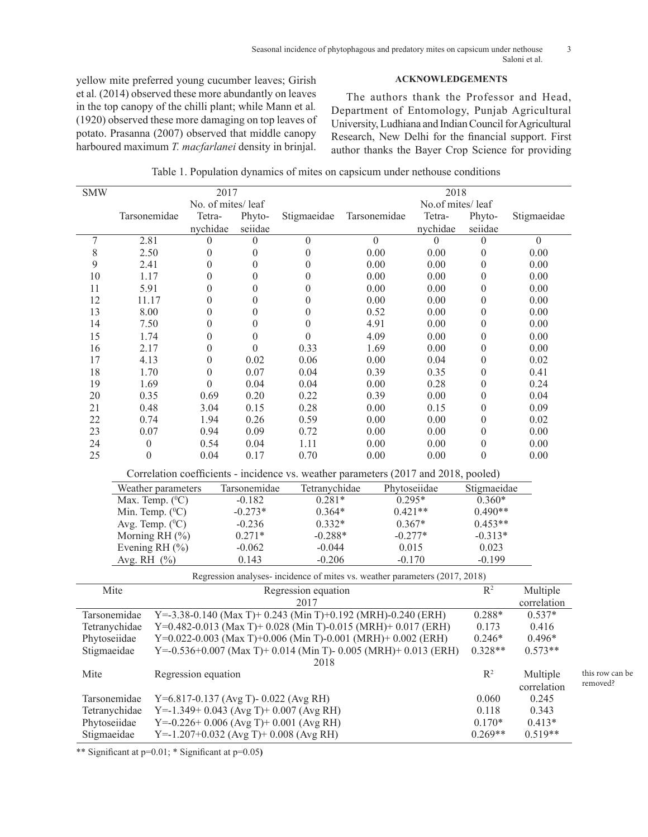## **ACKNOWLEDGEMENTS**

yellow mite preferred young cucumber leaves; Girish et al*.* (2014) observed these more abundantly on leaves in the top canopy of the chilli plant; while Mann et al*.*  (1920) observed these more damaging on top leaves of potato. Prasanna (2007) observed that middle canopy harboured maximum *T. macfarlanei* density in brinjal.

The authors thank the Professor and Head, Department of Entomology, Punjab Agricultural University, Ludhiana and Indian Council for Agricultural Research, New Delhi for the financial support. First author thanks the Bayer Crop Science for providing

> this row can be removed?

|  |  |  | Table 1. Population dynamics of mites on capsicum under nethouse conditions |  |
|--|--|--|-----------------------------------------------------------------------------|--|
|  |  |  |                                                                             |  |
|  |  |  |                                                                             |  |
|  |  |  |                                                                             |  |

| <b>SMW</b>                                                                             |                                                                                                                             | 2017                                                                               |                               |                     | $\frac{2018}{ }$ |                  |                        |                |  |
|----------------------------------------------------------------------------------------|-----------------------------------------------------------------------------------------------------------------------------|------------------------------------------------------------------------------------|-------------------------------|---------------------|------------------|------------------|------------------------|----------------|--|
|                                                                                        | No. of mites/leaf                                                                                                           |                                                                                    |                               |                     | No.of mites/leaf |                  |                        |                |  |
|                                                                                        | Tarsonemidae                                                                                                                | Tetra-                                                                             | Phyto-                        | Stigmaeidae         | Tarsonemidae     | Tetra-           | Phyto-                 | Stigmaeidae    |  |
|                                                                                        |                                                                                                                             | nychidae                                                                           | seiidae                       |                     |                  | nychidae         | seiidae                |                |  |
| 7                                                                                      | 2.81                                                                                                                        | 0                                                                                  | $\theta$                      | $\boldsymbol{0}$    | $\overline{0}$   | $\boldsymbol{0}$ | $\boldsymbol{0}$       | $\overline{0}$ |  |
| $\,$ $\,$                                                                              | 2.50                                                                                                                        | $\boldsymbol{0}$                                                                   | $\boldsymbol{0}$              | $\boldsymbol{0}$    | $0.00\,$         | 0.00             | $\boldsymbol{0}$       | 0.00           |  |
| 9                                                                                      | 2.41                                                                                                                        | $\boldsymbol{0}$                                                                   | $\theta$                      | $\theta$            | 0.00             | $0.00\,$         | $\theta$               | 0.00           |  |
| 10                                                                                     | 1.17                                                                                                                        | $\boldsymbol{0}$                                                                   | $\boldsymbol{0}$              | $\boldsymbol{0}$    | 0.00             | 0.00             | $\boldsymbol{0}$       | 0.00           |  |
| 11                                                                                     | 5.91                                                                                                                        | $\boldsymbol{0}$                                                                   | $\boldsymbol{0}$              | $\boldsymbol{0}$    | 0.00             | $0.00\,$         | $\boldsymbol{0}$       | 0.00           |  |
| 12                                                                                     | 11.17                                                                                                                       | $\boldsymbol{0}$                                                                   | $\boldsymbol{0}$              | $\boldsymbol{0}$    | 0.00             | 0.00             | $\boldsymbol{0}$       | 0.00           |  |
| 13                                                                                     | 8.00                                                                                                                        | $\boldsymbol{0}$                                                                   | $\boldsymbol{0}$              | $\boldsymbol{0}$    | 0.52             | 0.00             | $\boldsymbol{0}$       | 0.00           |  |
| 14                                                                                     | 7.50                                                                                                                        | $\boldsymbol{0}$                                                                   | $\boldsymbol{0}$              | $\boldsymbol{0}$    | 4.91             | 0.00             | $\boldsymbol{0}$       | 0.00           |  |
| 15                                                                                     | 1.74                                                                                                                        | $\boldsymbol{0}$                                                                   | $\boldsymbol{0}$              | $\theta$            | 4.09             | 0.00             | $\boldsymbol{0}$       | 0.00           |  |
| 16                                                                                     | 2.17                                                                                                                        | $\boldsymbol{0}$                                                                   | $\boldsymbol{0}$              | 0.33                | 1.69             | 0.00             | $\boldsymbol{0}$       | 0.00           |  |
| 17                                                                                     | 4.13                                                                                                                        | $\boldsymbol{0}$                                                                   | 0.02                          | 0.06                | 0.00             | 0.04             | $\boldsymbol{0}$       | 0.02           |  |
| 18                                                                                     | 1.70                                                                                                                        | $\boldsymbol{0}$                                                                   | 0.07                          | 0.04                | 0.39             | 0.35             | $\boldsymbol{0}$       | 0.41           |  |
| 19                                                                                     | 1.69                                                                                                                        | $\boldsymbol{0}$                                                                   | 0.04                          | 0.04                | 0.00             | 0.28             | $\boldsymbol{0}$       | 0.24           |  |
| 20                                                                                     | 0.35                                                                                                                        | 0.69                                                                               | 0.20                          | 0.22                | 0.39             | $0.00\,$         | $\boldsymbol{0}$       | 0.04           |  |
| 21                                                                                     | 0.48                                                                                                                        | 3.04                                                                               | 0.15                          | 0.28                | 0.00             | 0.15             | $\boldsymbol{0}$       | 0.09           |  |
| 22                                                                                     | 0.74                                                                                                                        | 1.94                                                                               | 0.26                          | 0.59                | 0.00             | 0.00             | $\boldsymbol{0}$       | 0.02           |  |
| 23                                                                                     | 0.07                                                                                                                        | 0.94                                                                               | 0.09                          | 0.72                | 0.00             | 0.00             | $\boldsymbol{0}$       | 0.00           |  |
| 24                                                                                     | $\boldsymbol{0}$                                                                                                            | 0.54                                                                               | 0.04                          | 1.11                | 0.00             | 0.00             | $\boldsymbol{0}$       | 0.00           |  |
| 25                                                                                     | $\boldsymbol{0}$                                                                                                            | 0.04                                                                               | 0.17                          | 0.70                | 0.00             | 0.00             | $\theta$               | 0.00           |  |
|                                                                                        | Correlation coefficients - incidence vs. weather parameters (2017 and 2018, pooled)                                         |                                                                                    |                               |                     |                  |                  |                        |                |  |
|                                                                                        | Weather parameters                                                                                                          |                                                                                    | Tarsonemidae<br>Tetranychidae |                     | Phytoseiidae     |                  | Stigmaeidae            |                |  |
|                                                                                        | Max. Temp. $(^0C)$                                                                                                          |                                                                                    | $-0.182$<br>$0.281*$          |                     | $0.295*$         |                  | $0.360*$               |                |  |
|                                                                                        | Min. Temp. $(^{0}C)$                                                                                                        |                                                                                    | $-0.273*$                     | $0.364*$            | $0.421**$        |                  | $0.490**$              |                |  |
|                                                                                        | Avg. Temp. $(^{0}C)$                                                                                                        |                                                                                    | $-0.236$                      | $0.332*$            |                  | $0.367*$         |                        |                |  |
|                                                                                        | Morning RH (%)                                                                                                              |                                                                                    | $0.271*$                      | $-0.288*$           |                  | $-0.277*$        | $0.453**$<br>$-0.313*$ |                |  |
|                                                                                        | Evening RH (%)                                                                                                              |                                                                                    | $-0.062$                      | $-0.044$            |                  | 0.015            | 0.023                  |                |  |
|                                                                                        |                                                                                                                             |                                                                                    |                               |                     |                  |                  | $-0.199$               |                |  |
|                                                                                        | 0.143<br>$-0.206$<br>$-0.170$<br>Avg. RH (%)<br>Regression analyses- incidence of mites vs. weather parameters (2017, 2018) |                                                                                    |                               |                     |                  |                  |                        |                |  |
|                                                                                        |                                                                                                                             |                                                                                    |                               | Regression equation |                  |                  |                        |                |  |
|                                                                                        | Mite                                                                                                                        |                                                                                    | $\overline{\mathbb{R}^2}$     | Multiple            |                  |                  |                        |                |  |
|                                                                                        |                                                                                                                             |                                                                                    |                               | 2017                |                  |                  |                        | correlation    |  |
|                                                                                        | Tarsonemidae                                                                                                                | Y=-3.38-0.140 (Max T)+ 0.243 (Min T)+0.192 (MRH)-0.240 (ERH)                       | $0.288*$                      | $0.537*$            |                  |                  |                        |                |  |
|                                                                                        | Tetranychidae                                                                                                               | Y=0.482-0.013 (Max T)+ 0.028 (Min T)-0.015 (MRH)+ 0.017 (ERH)                      | 0.173                         | 0.416               |                  |                  |                        |                |  |
| Phytoseiidae                                                                           |                                                                                                                             | Y=0.022-0.003 (Max T)+0.006 (Min T)-0.001 (MRH)+ 0.002 (ERH)                       | $0.246*$                      | 0.496*              |                  |                  |                        |                |  |
| Y=-0.536+0.007 (Max T)+ 0.014 (Min T)- 0.005 (MRH)+ 0.013 (ERH)<br>Stigmaeidae<br>2018 |                                                                                                                             |                                                                                    |                               |                     |                  |                  | $0.328**$              | $0.573**$      |  |
| Mite                                                                                   |                                                                                                                             | Regression equation                                                                | $R^2$                         | Multiple            |                  |                  |                        |                |  |
|                                                                                        |                                                                                                                             |                                                                                    |                               |                     |                  |                  |                        | correlation    |  |
|                                                                                        | Tarsonemidae                                                                                                                | Y=6.817-0.137 (Avg T)-0.022 (Avg RH)                                               | 0.060                         | 0.245               |                  |                  |                        |                |  |
|                                                                                        | Tetranychidae                                                                                                               |                                                                                    | 0.118                         | 0.343               |                  |                  |                        |                |  |
| Phytoseiidae                                                                           |                                                                                                                             | Y=-1.349+ 0.043 (Avg T)+ 0.007 (Avg RH)<br>Y=-0.226+ 0.006 (Avg T)+ 0.001 (Avg RH) |                               |                     |                  |                  |                        | $0.413*$       |  |
| Stigmaeidae                                                                            |                                                                                                                             | $Y = -1.207 + 0.032$ (Avg T) + 0.008 (Avg RH)                                      |                               |                     |                  |                  |                        | $0.519**$      |  |
|                                                                                        |                                                                                                                             |                                                                                    | $0.269**$                     |                     |                  |                  |                        |                |  |

\*\* Significant at p=0.01; \* Significant at p=0.05**)**